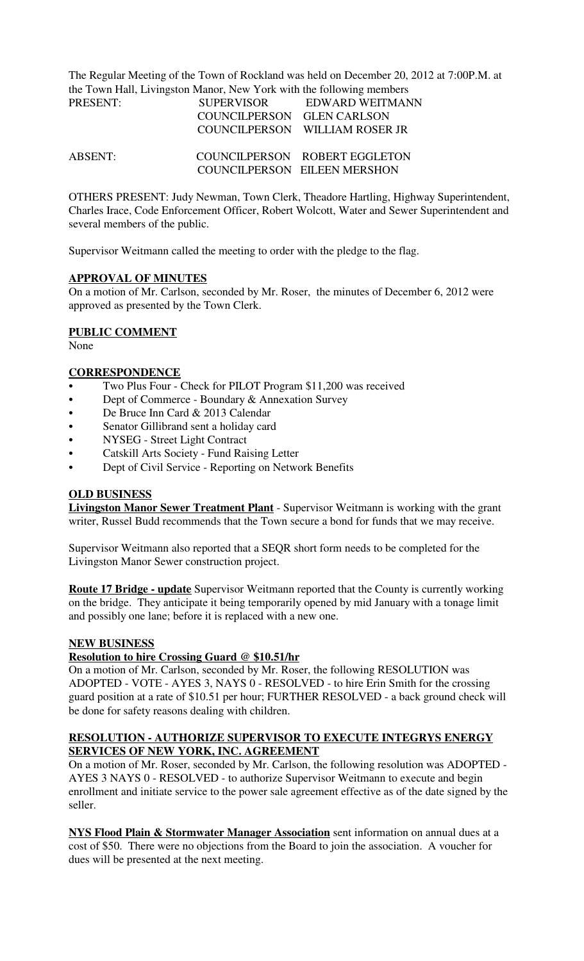The Regular Meeting of the Town of Rockland was held on December 20, 2012 at 7:00P.M. at the Town Hall, Livingston Manor, New York with the following members

| PRESENT: | <b>SUPERVISOR</b>          | EDWARD WEITMANN                |
|----------|----------------------------|--------------------------------|
|          | COUNCILPERSON GLEN CARLSON |                                |
|          |                            | COUNCILPERSON WILLIAM ROSER JR |
| ABSENT:  |                            | COUNCILPERSON ROBERT EGGLETON  |
|          |                            | COUNCILPERSON EILEEN MERSHON   |

OTHERS PRESENT: Judy Newman, Town Clerk, Theadore Hartling, Highway Superintendent, Charles Irace, Code Enforcement Officer, Robert Wolcott, Water and Sewer Superintendent and several members of the public.

Supervisor Weitmann called the meeting to order with the pledge to the flag.

### **APPROVAL OF MINUTES**

On a motion of Mr. Carlson, seconded by Mr. Roser, the minutes of December 6, 2012 were approved as presented by the Town Clerk.

#### **PUBLIC COMMENT**

None

#### **CORRESPONDENCE**

- Two Plus Four Check for PILOT Program \$11,200 was received
- Dept of Commerce Boundary & Annexation Survey
- De Bruce Inn Card & 2013 Calendar
- Senator Gillibrand sent a holiday card
- NYSEG Street Light Contract
- C Catskill Arts Society Fund Raising Letter
- Dept of Civil Service Reporting on Network Benefits

#### **OLD BUSINESS**

**Livingston Manor Sewer Treatment Plant** - Supervisor Weitmann is working with the grant writer, Russel Budd recommends that the Town secure a bond for funds that we may receive.

Supervisor Weitmann also reported that a SEQR short form needs to be completed for the Livingston Manor Sewer construction project.

**Route 17 Bridge - update** Supervisor Weitmann reported that the County is currently working on the bridge. They anticipate it being temporarily opened by mid January with a tonage limit and possibly one lane; before it is replaced with a new one.

#### **NEW BUSINESS**

#### **Resolution to hire Crossing Guard @ \$10.51/hr**

On a motion of Mr. Carlson, seconded by Mr. Roser, the following RESOLUTION was ADOPTED - VOTE - AYES 3, NAYS 0 - RESOLVED - to hire Erin Smith for the crossing guard position at a rate of \$10.51 per hour; FURTHER RESOLVED - a back ground check will be done for safety reasons dealing with children.

## **RESOLUTION - AUTHORIZE SUPERVISOR TO EXECUTE INTEGRYS ENERGY SERVICES OF NEW YORK, INC. AGREEMENT**

On a motion of Mr. Roser, seconded by Mr. Carlson, the following resolution was ADOPTED - AYES 3 NAYS 0 - RESOLVED - to authorize Supervisor Weitmann to execute and begin enrollment and initiate service to the power sale agreement effective as of the date signed by the seller.

**NYS Flood Plain & Stormwater Manager Association** sent information on annual dues at a cost of \$50. There were no objections from the Board to join the association. A voucher for dues will be presented at the next meeting.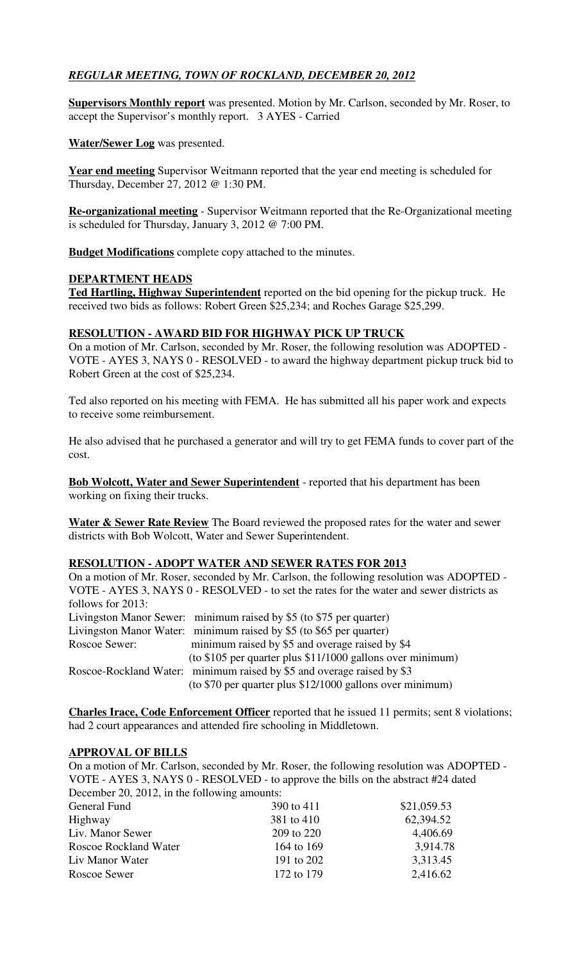## *REGULAR MEETING, TOWN OF ROCKLAND, DECEMBER 20, 2012*

**Supervisors Monthly report** was presented. Motion by Mr. Carlson, seconded by Mr. Roser, to accept the Supervisor's monthly report. 3 AYES - Carried

**Water/Sewer Log** was presented.

**Year end meeting** Supervisor Weitmann reported that the year end meeting is scheduled for Thursday, December 27, 2012 @ 1:30 PM.

**Re-organizational meeting** - Supervisor Weitmann reported that the Re-Organizational meeting is scheduled for Thursday, January 3, 2012 @ 7:00 PM.

**Budget Modifications** complete copy attached to the minutes.

### **DEPARTMENT HEADS**

**Ted Hartling, Highway Superintendent** reported on the bid opening for the pickup truck. He received two bids as follows: Robert Green \$25,234; and Roches Garage \$25,299.

## **RESOLUTION - AWARD BID FOR HIGHWAY PICK UP TRUCK**

On a motion of Mr. Carlson, seconded by Mr. Roser, the following resolution was ADOPTED - VOTE - AYES 3, NAYS 0 - RESOLVED - to award the highway department pickup truck bid to Robert Green at the cost of \$25,234.

Ted also reported on his meeting with FEMA. He has submitted all his paper work and expects to receive some reimbursement.

He also advised that he purchased a generator and will try to get FEMA funds to cover part of the cost.

**Bob Wolcott, Water and Sewer Superintendent** - reported that his department has been working on fixing their trucks.

**Water & Sewer Rate Review** The Board reviewed the proposed rates for the water and sewer districts with Bob Wolcott, Water and Sewer Superintendent.

### **RESOLUTION - ADOPT WATER AND SEWER RATES FOR 2013**

|                   | On a motion of Mr. Roser, seconded by Mr. Carlson, the following resolution was ADOPTED - |
|-------------------|-------------------------------------------------------------------------------------------|
|                   | VOTE - AYES 3, NAYS 0 - RESOLVED - to set the rates for the water and sewer districts as  |
| follows for 2013: |                                                                                           |
|                   | Livingston Manor Sewer: minimum raised by \$5 (to \$75 per quarter)                       |
|                   | Livingston Manor Water: minimum raised by \$5 (to \$65 per quarter)                       |
| Roscoe Sewer:     | minimum raised by \$5 and overage raised by \$4                                           |
|                   | (to \$105 per quarter plus \$11/1000 gallons over minimum)                                |
|                   | Roscoe-Rockland Water: minimum raised by \$5 and overage raised by \$3                    |
|                   | (to \$70 per quarter plus \$12/1000 gallons over minimum)                                 |

**Charles Irace, Code Enforcement Officer** reported that he issued 11 permits; sent 8 violations; had 2 court appearances and attended fire schooling in Middletown.

### **APPROVAL OF BILLS**

On a motion of Mr. Carlson, seconded by Mr. Roser, the following resolution was ADOPTED - VOTE - AYES 3, NAYS 0 - RESOLVED - to approve the bills on the abstract #24 dated December 20, 2012, in the following amounts:

| General Fund          | 390 to 411 | \$21,059.53 |
|-----------------------|------------|-------------|
| Highway               | 381 to 410 | 62,394.52   |
| Liv. Manor Sewer      | 209 to 220 | 4,406.69    |
| Roscoe Rockland Water | 164 to 169 | 3,914.78    |
| Liv Manor Water       | 191 to 202 | 3,313.45    |
| Roscoe Sewer          | 172 to 179 | 2,416.62    |